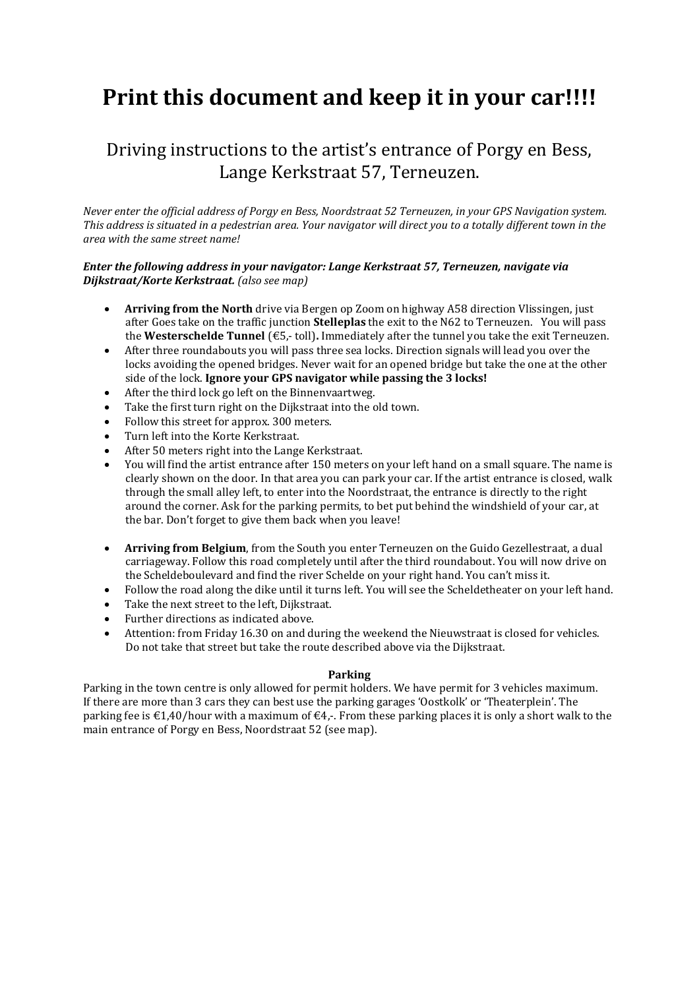## **Print this document and keep it in your car!!!!**

## Driving instructions to the artist's entrance of Porgy en Bess, Lange Kerkstraat 57, Terneuzen.

*Never enter the official address of Porgy en Bess, Noordstraat 52 Terneuzen, in your GPS Navigation system. This address is situated in a pedestrian area. Your navigator will direct you to a totally different town in the area with the same street name!*

## *Enter the following address in your navigator: Lange Kerkstraat 57, Terneuzen, navigate via Dijkstraat/Korte Kerkstraat. (also see map)*

- **Arriving from the North** drive via Bergen op Zoom on highway A58 direction Vlissingen, just after Goes take on the traffic junction **Stelleplas** the exit to the N62 to Terneuzen. You will pass the **Westerschelde Tunnel** (€5,- toll)**.** Immediately after the tunnel you take the exit Terneuzen.
- After three roundabouts you will pass three sea locks. Direction signals will lead you over the locks avoiding the opened bridges. Never wait for an opened bridge but take the one at the other side of the lock. **Ignore your GPS navigator while passing the 3 locks!**
- After the third lock go left on the Binnenvaartweg.
- Take the first turn right on the Dijkstraat into the old town.
- Follow this street for approx. 300 meters.
- Turn left into the Korte Kerkstraat.
- After 50 meters right into the Lange Kerkstraat.
- You will find the artist entrance after 150 meters on your left hand on a small square. The name is clearly shown on the door. In that area you can park your car. If the artist entrance is closed, walk through the small alley left, to enter into the Noordstraat, the entrance is directly to the right around the corner. Ask for the parking permits, to bet put behind the windshield of your car, at the bar. Don't forget to give them back when you leave!
- **Arriving from Belgium**, from the South you enter Terneuzen on the Guido Gezellestraat, a dual carriageway. Follow this road completely until after the third roundabout. You will now drive on the Scheldeboulevard and find the river Schelde on your right hand. You can't miss it.
- Follow the road along the dike until it turns left. You will see the Scheldetheater on your left hand.
- Take the next street to the left, Dijkstraat.
- Further directions as indicated above.
- Attention: from Friday 16.30 on and during the weekend the Nieuwstraat is closed for vehicles. Do not take that street but take the route described above via the Dijkstraat.

## **Parking**

Parking in the town centre is only allowed for permit holders. We have permit for 3 vehicles maximum. If there are more than 3 cars they can best use the parking garages 'Oostkolk' or 'Theaterplein'. The parking fee is  $\epsilon$ 1,40/hour with a maximum of  $\epsilon$ 4,-. From these parking places it is only a short walk to the main entrance of Porgy en Bess, Noordstraat 52 (see map).